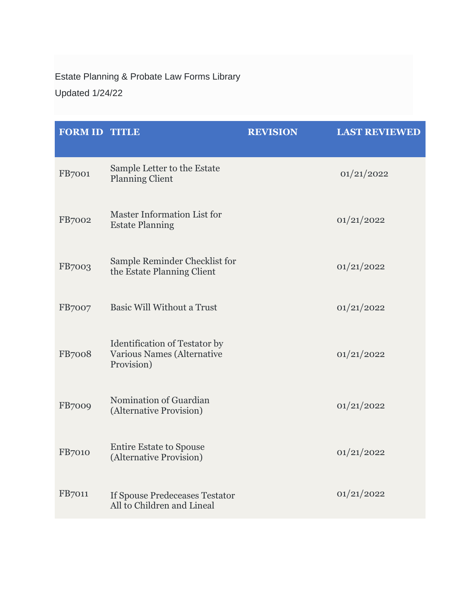Estate Planning & Probate Law Forms Library

Updated 1/24/22

| <b>FORM ID TITLE</b> |                                                                                         | <b>REVISION</b> | <b>LAST REVIEWED</b> |
|----------------------|-----------------------------------------------------------------------------------------|-----------------|----------------------|
| FB7001               | Sample Letter to the Estate<br><b>Planning Client</b>                                   |                 | 01/21/2022           |
| <b>FB7002</b>        | Master Information List for<br><b>Estate Planning</b>                                   |                 | 01/21/2022           |
| <b>FB7003</b>        | Sample Reminder Checklist for<br>the Estate Planning Client                             |                 | 01/21/2022           |
| <b>FB7007</b>        | <b>Basic Will Without a Trust</b>                                                       |                 | 01/21/2022           |
| <b>FB7008</b>        | <b>Identification of Testator by</b><br><b>Various Names (Alternative</b><br>Provision) |                 | 01/21/2022           |
| <b>FB7009</b>        | Nomination of Guardian<br>(Alternative Provision)                                       |                 | 01/21/2022           |
| <b>FB7010</b>        | <b>Entire Estate to Spouse</b><br>(Alternative Provision)                               |                 | 01/21/2022           |
| <b>FB7011</b>        | <b>If Spouse Predeceases Testator</b><br>All to Children and Lineal                     |                 | 01/21/2022           |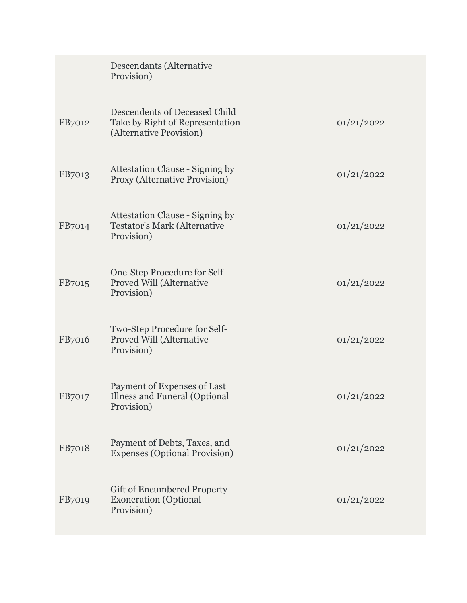|               | Descendants (Alternative<br>Provision)                                                      |            |
|---------------|---------------------------------------------------------------------------------------------|------------|
| FB7012        | Descendents of Deceased Child<br>Take by Right of Representation<br>(Alternative Provision) | 01/21/2022 |
| FB7013        | <b>Attestation Clause - Signing by</b><br>Proxy (Alternative Provision)                     | 01/21/2022 |
| FB7014        | <b>Attestation Clause - Signing by</b><br><b>Testator's Mark (Alternative</b><br>Provision) | 01/21/2022 |
| FB7015        | One-Step Procedure for Self-<br><b>Proved Will (Alternative</b><br>Provision)               | 01/21/2022 |
| FB7016        | Two-Step Procedure for Self-<br><b>Proved Will (Alternative</b><br>Provision)               | 01/21/2022 |
| FB7017        | Payment of Expenses of Last<br><b>Illness and Funeral (Optional</b><br>Provision)           | 01/21/2022 |
| FB7018        | Payment of Debts, Taxes, and<br><b>Expenses (Optional Provision)</b>                        | 01/21/2022 |
| <b>FB7019</b> | Gift of Encumbered Property -<br><b>Exoneration</b> (Optional<br>Provision)                 | 01/21/2022 |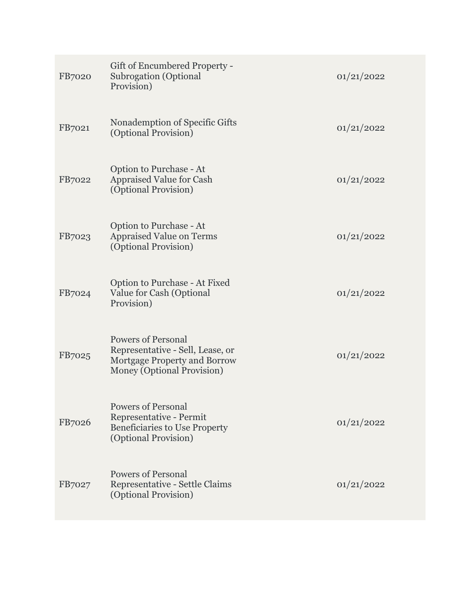| FB7020 | Gift of Encumbered Property -<br><b>Subrogation</b> (Optional<br>Provision)                                                 | 01/21/2022 |
|--------|-----------------------------------------------------------------------------------------------------------------------------|------------|
| FB7021 | Nonademption of Specific Gifts<br>(Optional Provision)                                                                      | 01/21/2022 |
| FB7022 | Option to Purchase - At<br><b>Appraised Value for Cash</b><br>(Optional Provision)                                          | 01/21/2022 |
| FB7023 | Option to Purchase - At<br><b>Appraised Value on Terms</b><br>(Optional Provision)                                          | 01/21/2022 |
| FB7024 | Option to Purchase - At Fixed<br>Value for Cash (Optional<br>Provision)                                                     | 01/21/2022 |
| FB7025 | <b>Powers of Personal</b><br>Representative - Sell, Lease, or<br>Mortgage Property and Borrow<br>Money (Optional Provision) | 01/21/2022 |
| FB7026 | <b>Powers of Personal</b><br>Representative - Permit<br><b>Beneficiaries to Use Property</b><br>(Optional Provision)        | 01/21/2022 |
| FB7027 | <b>Powers of Personal</b><br>Representative - Settle Claims<br>(Optional Provision)                                         | 01/21/2022 |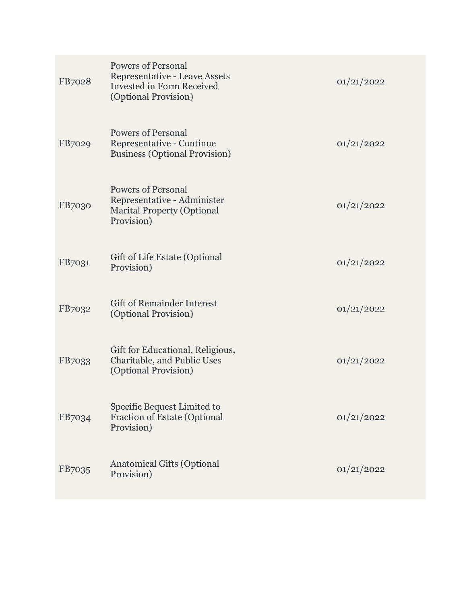| FB7028 | <b>Powers of Personal</b><br>Representative - Leave Assets<br>Invested in Form Received<br>(Optional Provision) | 01/21/2022 |
|--------|-----------------------------------------------------------------------------------------------------------------|------------|
| FB7029 | <b>Powers of Personal</b><br>Representative - Continue<br><b>Business (Optional Provision)</b>                  | 01/21/2022 |
| FB7030 | <b>Powers of Personal</b><br>Representative - Administer<br><b>Marital Property (Optional</b><br>Provision)     | 01/21/2022 |
| FB7031 | Gift of Life Estate (Optional<br>Provision)                                                                     | 01/21/2022 |
| FB7032 | <b>Gift of Remainder Interest</b><br>(Optional Provision)                                                       | 01/21/2022 |
| FB7033 | Gift for Educational, Religious,<br>Charitable, and Public Uses<br>(Optional Provision)                         | 01/21/2022 |
| FB7034 | Specific Bequest Limited to<br><b>Fraction of Estate (Optional</b><br>Provision)                                | 01/21/2022 |
| FB7035 | <b>Anatomical Gifts (Optional</b><br>Provision)                                                                 | 01/21/2022 |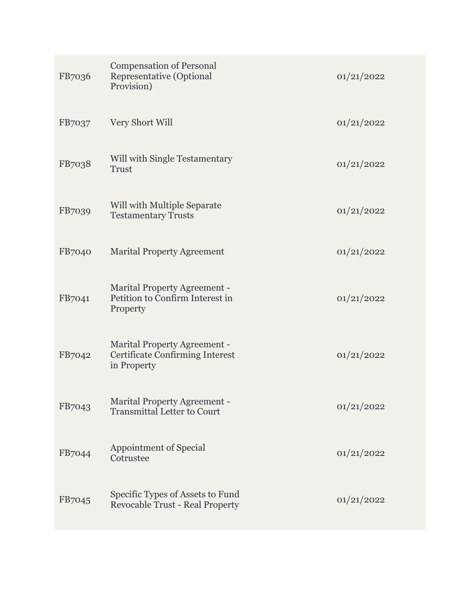| FB7036 | <b>Compensation of Personal</b><br>Representative (Optional<br>Provision)                    | 01/21/2022 |
|--------|----------------------------------------------------------------------------------------------|------------|
| FB7037 | Very Short Will                                                                              | 01/21/2022 |
| FB7038 | <b>Will with Single Testamentary</b><br><b>Trust</b>                                         | 01/21/2022 |
| FB7039 | Will with Multiple Separate<br><b>Testamentary Trusts</b>                                    | 01/21/2022 |
| FB7040 | <b>Marital Property Agreement</b>                                                            | 01/21/2022 |
| FB7041 | <b>Marital Property Agreement -</b><br>Petition to Confirm Interest in<br>Property           | 01/21/2022 |
| FB7042 | <b>Marital Property Agreement -</b><br><b>Certificate Confirming Interest</b><br>in Property | 01/21/2022 |
| FB7043 | <b>Marital Property Agreement -</b><br><b>Transmittal Letter to Court</b>                    | 01/21/2022 |
| FB7044 | Appointment of Special<br>Cotrustee                                                          | 01/21/2022 |
| FB7045 | Specific Types of Assets to Fund<br><b>Revocable Trust - Real Property</b>                   | 01/21/2022 |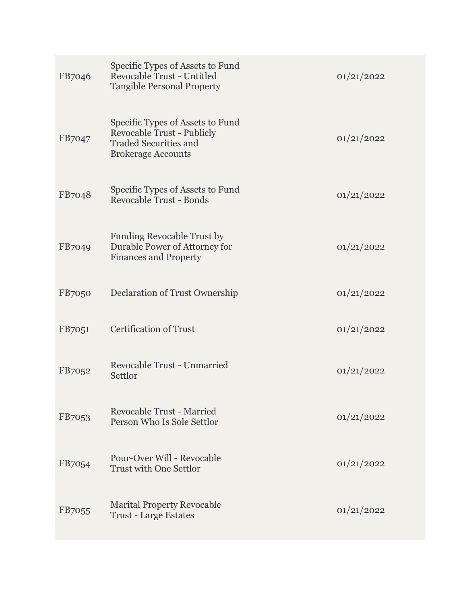| FB7046        | Specific Types of Assets to Fund<br><b>Revocable Trust - Untitled</b><br><b>Tangible Personal Property</b>                         | 01/21/2022 |
|---------------|------------------------------------------------------------------------------------------------------------------------------------|------------|
| FB7047        | Specific Types of Assets to Fund<br><b>Revocable Trust - Publicly</b><br><b>Traded Securities and</b><br><b>Brokerage Accounts</b> | 01/21/2022 |
| FB7048        | Specific Types of Assets to Fund<br><b>Revocable Trust - Bonds</b>                                                                 | 01/21/2022 |
| FB7049        | <b>Funding Revocable Trust by</b><br>Durable Power of Attorney for<br><b>Finances and Property</b>                                 | 01/21/2022 |
| <b>FB7050</b> | Declaration of Trust Ownership                                                                                                     | 01/21/2022 |
| FB7051        | <b>Certification of Trust</b>                                                                                                      | 01/21/2022 |
| FB7052        | <b>Revocable Trust - Unmarried</b><br>Settlor                                                                                      | 01/21/2022 |
| FB7053        | <b>Revocable Trust - Married</b><br>Person Who Is Sole Settlor                                                                     | 01/21/2022 |
| FB7054        | Pour-Over Will - Revocable<br><b>Trust with One Settlor</b>                                                                        | 01/21/2022 |
| FB7055        | <b>Marital Property Revocable</b><br><b>Trust - Large Estates</b>                                                                  | 01/21/2022 |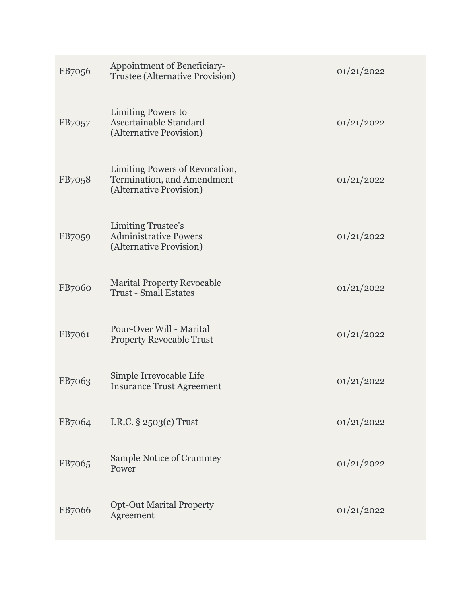| FB7056 | Appointment of Beneficiary-<br><b>Trustee (Alternative Provision)</b>                   | 01/21/2022 |
|--------|-----------------------------------------------------------------------------------------|------------|
| FB7057 | Limiting Powers to<br>Ascertainable Standard<br>(Alternative Provision)                 | 01/21/2022 |
| FB7058 | Limiting Powers of Revocation,<br>Termination, and Amendment<br>(Alternative Provision) | 01/21/2022 |
| FB7059 | <b>Limiting Trustee's</b><br><b>Administrative Powers</b><br>(Alternative Provision)    | 01/21/2022 |
| FB7060 | <b>Marital Property Revocable</b><br><b>Trust - Small Estates</b>                       | 01/21/2022 |
| FB7061 | Pour-Over Will - Marital<br><b>Property Revocable Trust</b>                             | 01/21/2022 |
| FB7063 | Simple Irrevocable Life<br><b>Insurance Trust Agreement</b>                             | 01/21/2022 |
| FB7064 | I.R.C. $\S$ 2503(c) Trust                                                               | 01/21/2022 |
| FB7065 | Sample Notice of Crummey<br>Power                                                       | 01/21/2022 |
| FB7066 | <b>Opt-Out Marital Property</b><br>Agreement                                            | 01/21/2022 |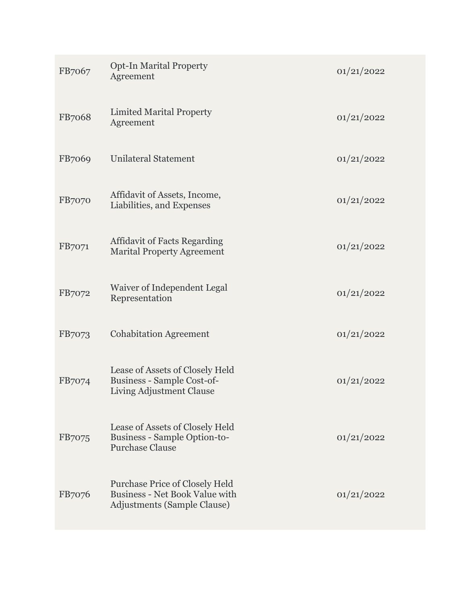| FB7067        | <b>Opt-In Marital Property</b><br>Agreement                                                                   | 01/21/2022 |
|---------------|---------------------------------------------------------------------------------------------------------------|------------|
| <b>FB7068</b> | <b>Limited Marital Property</b><br>Agreement                                                                  | 01/21/2022 |
| FB7069        | <b>Unilateral Statement</b>                                                                                   | 01/21/2022 |
| <b>FB7070</b> | Affidavit of Assets, Income,<br>Liabilities, and Expenses                                                     | 01/21/2022 |
| FB7071        | <b>Affidavit of Facts Regarding</b><br><b>Marital Property Agreement</b>                                      | 01/21/2022 |
| FB7072        | Waiver of Independent Legal<br>Representation                                                                 | 01/21/2022 |
| FB7073        | <b>Cohabitation Agreement</b>                                                                                 | 01/21/2022 |
| FB7074        | Lease of Assets of Closely Held<br>Business - Sample Cost-of-<br>Living Adjustment Clause                     | 01/21/2022 |
| FB7075        | Lease of Assets of Closely Held<br><b>Business - Sample Option-to-</b><br><b>Purchase Clause</b>              | 01/21/2022 |
| FB7076        | Purchase Price of Closely Held<br><b>Business - Net Book Value with</b><br><b>Adjustments (Sample Clause)</b> | 01/21/2022 |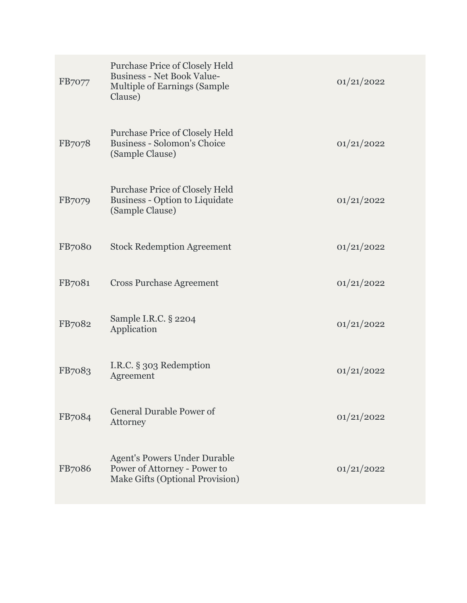| FB7077        | <b>Purchase Price of Closely Held</b><br><b>Business - Net Book Value-</b><br><b>Multiple of Earnings (Sample</b><br>Clause) | 01/21/2022 |
|---------------|------------------------------------------------------------------------------------------------------------------------------|------------|
| <b>FB7078</b> | Purchase Price of Closely Held<br><b>Business - Solomon's Choice</b><br>(Sample Clause)                                      | 01/21/2022 |
| FB7079        | <b>Purchase Price of Closely Held</b><br><b>Business - Option to Liquidate</b><br>(Sample Clause)                            | 01/21/2022 |
| <b>FB7080</b> | <b>Stock Redemption Agreement</b>                                                                                            | 01/21/2022 |
| FB7081        | <b>Cross Purchase Agreement</b>                                                                                              | 01/21/2022 |
| FB7082        | Sample I.R.C. § 2204<br>Application                                                                                          | 01/21/2022 |
| FB7083        | I.R.C. § 303 Redemption<br>Agreement                                                                                         | 01/21/2022 |
| FB7084        | <b>General Durable Power of</b><br>Attorney                                                                                  | 01/21/2022 |
| <b>FB7086</b> | <b>Agent's Powers Under Durable</b><br>Power of Attorney - Power to<br>Make Gifts (Optional Provision)                       | 01/21/2022 |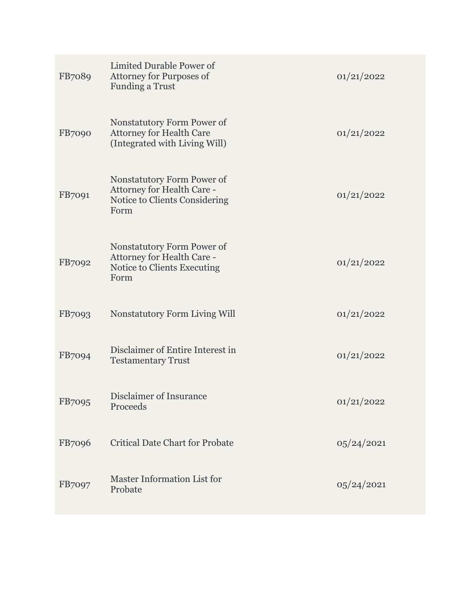| FB7089        | Limited Durable Power of<br><b>Attorney for Purposes of</b><br><b>Funding a Trust</b>             | 01/21/2022 |
|---------------|---------------------------------------------------------------------------------------------------|------------|
| <b>FB7090</b> | Nonstatutory Form Power of<br><b>Attorney for Health Care</b><br>(Integrated with Living Will)    | 01/21/2022 |
| FB7091        | Nonstatutory Form Power of<br>Attorney for Health Care -<br>Notice to Clients Considering<br>Form | 01/21/2022 |
| FB7092        | Nonstatutory Form Power of<br>Attorney for Health Care -<br>Notice to Clients Executing<br>Form   | 01/21/2022 |
| FB7093        | <b>Nonstatutory Form Living Will</b>                                                              | 01/21/2022 |
| FB7094        | Disclaimer of Entire Interest in<br><b>Testamentary Trust</b>                                     | 01/21/2022 |
| FB7095        | Disclaimer of Insurance<br>Proceeds                                                               | 01/21/2022 |
| FB7096        | <b>Critical Date Chart for Probate</b>                                                            | 05/24/2021 |
| FB7097        | Master Information List for<br>Probate                                                            | 05/24/2021 |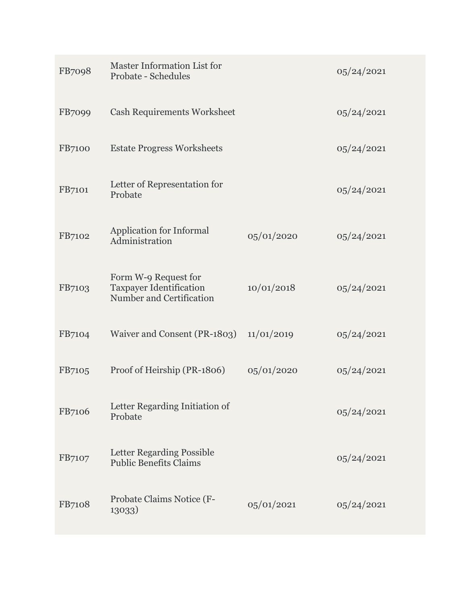| FB7098        | Master Information List for<br><b>Probate - Schedules</b>                          |            | 05/24/2021 |
|---------------|------------------------------------------------------------------------------------|------------|------------|
| FB7099        | <b>Cash Requirements Worksheet</b>                                                 |            | 05/24/2021 |
| <b>FB7100</b> | <b>Estate Progress Worksheets</b>                                                  |            | 05/24/2021 |
| FB7101        | Letter of Representation for<br>Probate                                            |            | 05/24/2021 |
| FB7102        | Application for Informal<br>Administration                                         | 05/01/2020 | 05/24/2021 |
| FB7103        | Form W-9 Request for<br><b>Taxpayer Identification</b><br>Number and Certification | 10/01/2018 | 05/24/2021 |
| FB7104        | Waiver and Consent (PR-1803)                                                       | 11/01/2019 | 05/24/2021 |
| FB7105        | Proof of Heirship (PR-1806)                                                        | 05/01/2020 | 05/24/2021 |
| FB7106        | Letter Regarding Initiation of<br>Probate                                          |            | 05/24/2021 |
| FB7107        | Letter Regarding Possible<br><b>Public Benefits Claims</b>                         |            | 05/24/2021 |
| FB7108        | Probate Claims Notice (F-<br>13033)                                                | 05/01/2021 | 05/24/2021 |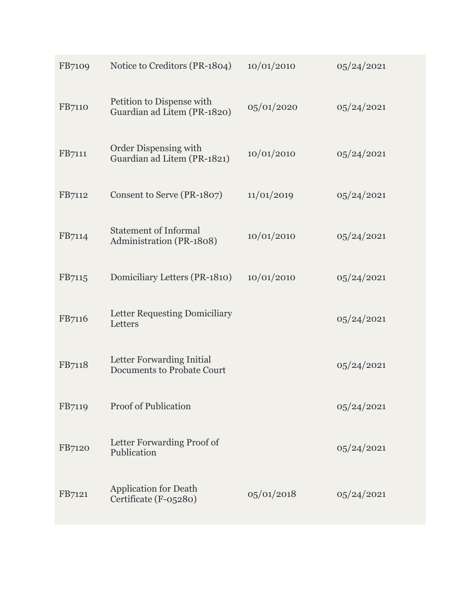| FB7109        | Notice to Creditors (PR-1804)                                  | 10/01/2010 | 05/24/2021 |
|---------------|----------------------------------------------------------------|------------|------------|
| FB7110        | Petition to Dispense with<br>Guardian ad Litem (PR-1820)       | 05/01/2020 | 05/24/2021 |
| FB7111        | Order Dispensing with<br>Guardian ad Litem (PR-1821)           | 10/01/2010 | 05/24/2021 |
| FB7112        | Consent to Serve (PR-1807)                                     | 11/01/2019 | 05/24/2021 |
| FB7114        | <b>Statement of Informal</b><br>Administration (PR-1808)       | 10/01/2010 | 05/24/2021 |
| FB7115        | Domiciliary Letters (PR-1810)                                  | 10/01/2010 | 05/24/2021 |
| FB7116        | <b>Letter Requesting Domiciliary</b><br>Letters                |            | 05/24/2021 |
| FB7118        | Letter Forwarding Initial<br><b>Documents to Probate Court</b> |            | 05/24/2021 |
| FB7119        | <b>Proof of Publication</b>                                    |            | 05/24/2021 |
| <b>FB7120</b> | Letter Forwarding Proof of<br>Publication                      |            | 05/24/2021 |
| FB7121        | <b>Application for Death</b><br>Certificate (F-05280)          | 05/01/2018 | 05/24/2021 |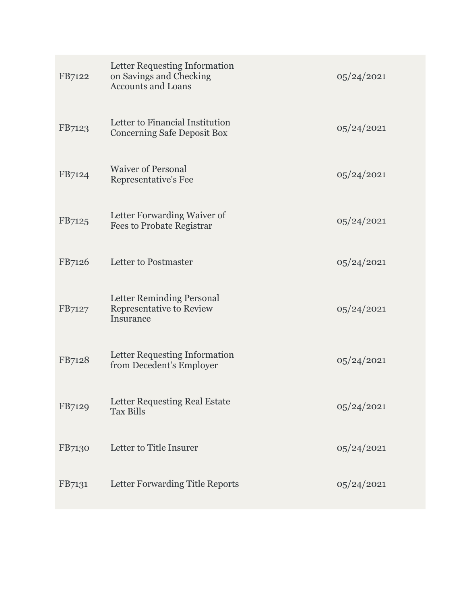| FB7122 | Letter Requesting Information<br>on Savings and Checking<br><b>Accounts and Loans</b> | 05/24/2021 |
|--------|---------------------------------------------------------------------------------------|------------|
| FB7123 | Letter to Financial Institution<br><b>Concerning Safe Deposit Box</b>                 | 05/24/2021 |
| FB7124 | <b>Waiver of Personal</b><br>Representative's Fee                                     | 05/24/2021 |
| FB7125 | Letter Forwarding Waiver of<br><b>Fees to Probate Registrar</b>                       | 05/24/2021 |
| FB7126 | Letter to Postmaster                                                                  | 05/24/2021 |
| FB7127 | Letter Reminding Personal<br>Representative to Review<br>Insurance                    | 05/24/2021 |
| FB7128 | Letter Requesting Information<br>from Decedent's Employer                             | 05/24/2021 |
| FB7129 | Letter Requesting Real Estate<br><b>Tax Bills</b>                                     | 05/24/2021 |
| FB7130 | Letter to Title Insurer                                                               | 05/24/2021 |
| FB7131 | Letter Forwarding Title Reports                                                       | 05/24/2021 |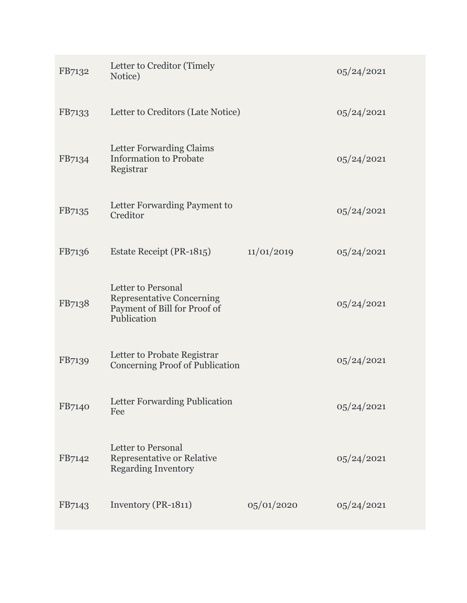| FB7132 | Letter to Creditor (Timely<br>Notice)                                                                 |            | 05/24/2021 |
|--------|-------------------------------------------------------------------------------------------------------|------------|------------|
| FB7133 | Letter to Creditors (Late Notice)                                                                     |            | 05/24/2021 |
| FB7134 | Letter Forwarding Claims<br><b>Information to Probate</b><br>Registrar                                |            | 05/24/2021 |
| FB7135 | Letter Forwarding Payment to<br>Creditor                                                              |            | 05/24/2021 |
| FB7136 | Estate Receipt (PR-1815)                                                                              | 11/01/2019 | 05/24/2021 |
| FB7138 | Letter to Personal<br><b>Representative Concerning</b><br>Payment of Bill for Proof of<br>Publication |            | 05/24/2021 |
| FB7139 | Letter to Probate Registrar<br><b>Concerning Proof of Publication</b>                                 |            | 05/24/2021 |
| FB7140 | Letter Forwarding Publication<br>Fee                                                                  |            | 05/24/2021 |
| FB7142 | Letter to Personal<br>Representative or Relative<br><b>Regarding Inventory</b>                        |            | 05/24/2021 |
| FB7143 | Inventory (PR-1811)                                                                                   | 05/01/2020 | 05/24/2021 |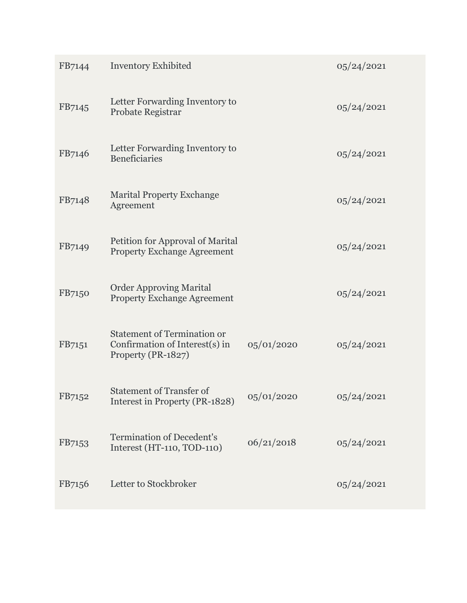| FB7144 | <b>Inventory Exhibited</b>                                                                 |            | 05/24/2021 |
|--------|--------------------------------------------------------------------------------------------|------------|------------|
| FB7145 | Letter Forwarding Inventory to<br>Probate Registrar                                        |            | 05/24/2021 |
| FB7146 | Letter Forwarding Inventory to<br><b>Beneficiaries</b>                                     |            | 05/24/2021 |
| FB7148 | <b>Marital Property Exchange</b><br>Agreement                                              |            | 05/24/2021 |
| FB7149 | Petition for Approval of Marital<br><b>Property Exchange Agreement</b>                     |            | 05/24/2021 |
| FB7150 | <b>Order Approving Marital</b><br><b>Property Exchange Agreement</b>                       |            | 05/24/2021 |
| FB7151 | <b>Statement of Termination or</b><br>Confirmation of Interest(s) in<br>Property (PR-1827) | 05/01/2020 | 05/24/2021 |
| FB7152 | <b>Statement of Transfer of</b><br>Interest in Property (PR-1828)                          | 05/01/2020 | 05/24/2021 |
| FB7153 | <b>Termination of Decedent's</b><br>Interest (HT-110, TOD-110)                             | 06/21/2018 | 05/24/2021 |
| FB7156 | Letter to Stockbroker                                                                      |            | 05/24/2021 |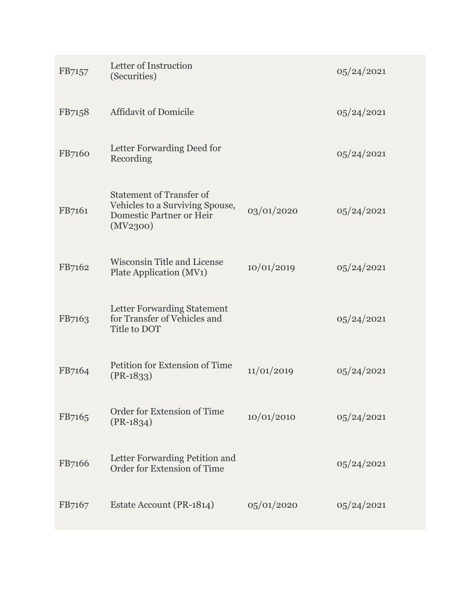| FB7157 | Letter of Instruction<br>(Securities)                                                                             |            | 05/24/2021 |
|--------|-------------------------------------------------------------------------------------------------------------------|------------|------------|
| FB7158 | <b>Affidavit of Domicile</b>                                                                                      |            | 05/24/2021 |
| FB7160 | Letter Forwarding Deed for<br>Recording                                                                           |            | 05/24/2021 |
| FB7161 | <b>Statement of Transfer of</b><br>Vehicles to a Surviving Spouse,<br><b>Domestic Partner or Heir</b><br>(MV2300) | 03/01/2020 | 05/24/2021 |
| FB7162 | <b>Wisconsin Title and License</b><br>Plate Application (MV1)                                                     | 10/01/2019 | 05/24/2021 |
| FB7163 | Letter Forwarding Statement<br>for Transfer of Vehicles and<br>Title to DOT                                       |            | 05/24/2021 |
| FB7164 | Petition for Extension of Time<br>$(PR-1833)$                                                                     | 11/01/2019 | 05/24/2021 |
| FB7165 | Order for Extension of Time<br>$(PR-1834)$                                                                        | 10/01/2010 | 05/24/2021 |
| FB7166 | Letter Forwarding Petition and<br>Order for Extension of Time                                                     |            | 05/24/2021 |
| FB7167 | Estate Account (PR-1814)                                                                                          | 05/01/2020 | 05/24/2021 |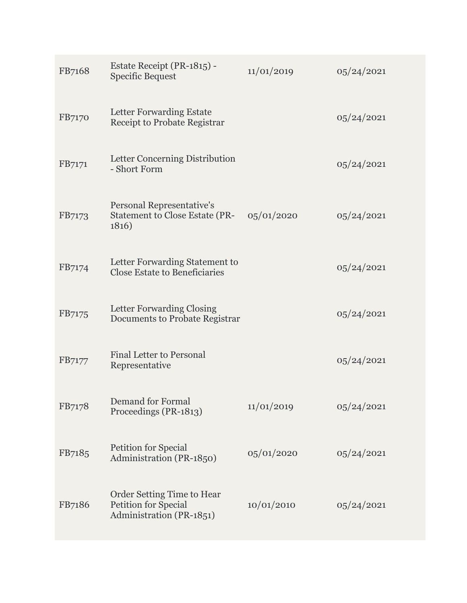| FB7168 | Estate Receipt (PR-1815) -<br><b>Specific Bequest</b>                                 | 11/01/2019 | 05/24/2021 |
|--------|---------------------------------------------------------------------------------------|------------|------------|
| FB7170 | Letter Forwarding Estate<br>Receipt to Probate Registrar                              |            | 05/24/2021 |
| FB7171 | Letter Concerning Distribution<br>- Short Form                                        |            | 05/24/2021 |
| FB7173 | Personal Representative's<br><b>Statement to Close Estate (PR-</b><br>1816)           | 05/01/2020 | 05/24/2021 |
| FB7174 | Letter Forwarding Statement to<br><b>Close Estate to Beneficiaries</b>                |            | 05/24/2021 |
| FB7175 | Letter Forwarding Closing<br><b>Documents to Probate Registrar</b>                    |            | 05/24/2021 |
| FB7177 | <b>Final Letter to Personal</b><br>Representative                                     |            | 05/24/2021 |
| FB7178 | <b>Demand for Formal</b><br>Proceedings (PR-1813)                                     | 11/01/2019 | 05/24/2021 |
| FB7185 | <b>Petition for Special</b><br>Administration (PR-1850)                               | 05/01/2020 | 05/24/2021 |
| FB7186 | Order Setting Time to Hear<br><b>Petition for Special</b><br>Administration (PR-1851) | 10/01/2010 | 05/24/2021 |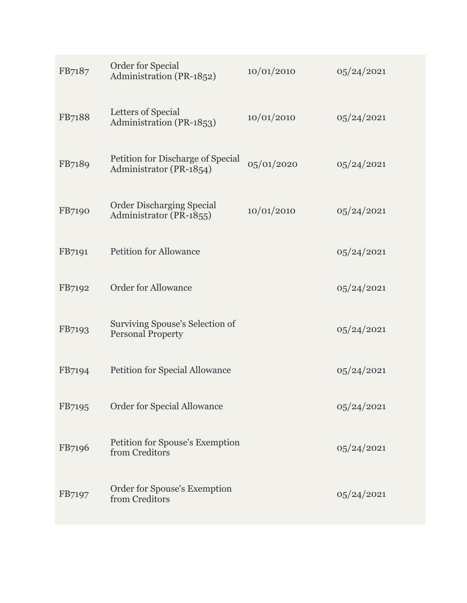| FB7187 | Order for Special<br>Administration (PR-1852)                | 10/01/2010 | 05/24/2021 |
|--------|--------------------------------------------------------------|------------|------------|
| FB7188 | Letters of Special<br>Administration (PR-1853)               | 10/01/2010 | 05/24/2021 |
| FB7189 | Petition for Discharge of Special<br>Administrator (PR-1854) | 05/01/2020 | 05/24/2021 |
| FB7190 | <b>Order Discharging Special</b><br>Administrator (PR-1855)  | 10/01/2010 | 05/24/2021 |
| FB7191 | <b>Petition for Allowance</b>                                |            | 05/24/2021 |
| FB7192 | <b>Order for Allowance</b>                                   |            | 05/24/2021 |
| FB7193 | Surviving Spouse's Selection of<br><b>Personal Property</b>  |            | 05/24/2021 |
| FB7194 | <b>Petition for Special Allowance</b>                        |            | 05/24/2021 |
| FB7195 | <b>Order for Special Allowance</b>                           |            | 05/24/2021 |
| FB7196 | Petition for Spouse's Exemption<br>from Creditors            |            | 05/24/2021 |
| FB7197 | Order for Spouse's Exemption<br>from Creditors               |            | 05/24/2021 |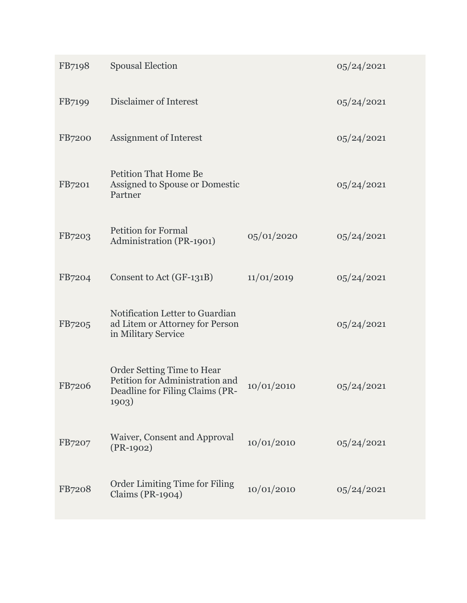| FB7198        | <b>Spousal Election</b>                                                                                   |            | 05/24/2021 |
|---------------|-----------------------------------------------------------------------------------------------------------|------------|------------|
| FB7199        | Disclaimer of Interest                                                                                    |            | 05/24/2021 |
| <b>FB7200</b> | Assignment of Interest                                                                                    |            | 05/24/2021 |
| FB7201        | <b>Petition That Home Be</b><br>Assigned to Spouse or Domestic<br>Partner                                 |            | 05/24/2021 |
| FB7203        | <b>Petition for Formal</b><br>Administration (PR-1901)                                                    | 05/01/2020 | 05/24/2021 |
| FB7204        | Consent to Act (GF-131B)                                                                                  | 11/01/2019 | 05/24/2021 |
| FB7205        | Notification Letter to Guardian<br>ad Litem or Attorney for Person<br>in Military Service                 |            | 05/24/2021 |
| FB7206        | Order Setting Time to Hear<br>Petition for Administration and<br>Deadline for Filing Claims (PR-<br>1903) | 10/01/2010 | 05/24/2021 |
| FB7207        | Waiver, Consent and Approval<br>$(PR-1902)$                                                               | 10/01/2010 | 05/24/2021 |
| FB7208        | <b>Order Limiting Time for Filing</b><br><b>Claims (PR-1904)</b>                                          | 10/01/2010 | 05/24/2021 |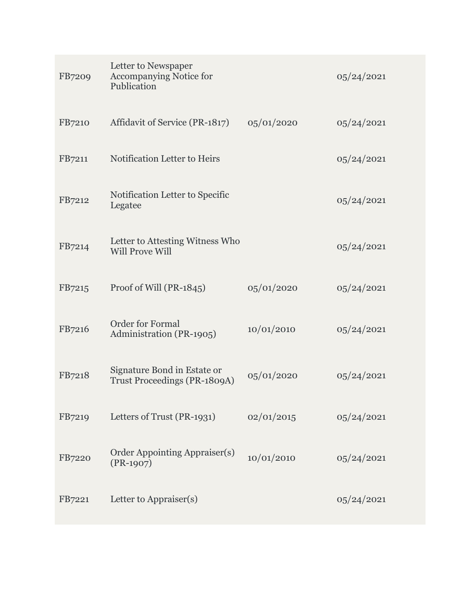| FB7209 | Letter to Newspaper<br>Accompanying Notice for<br>Publication      |            | 05/24/2021 |
|--------|--------------------------------------------------------------------|------------|------------|
| FB7210 | Affidavit of Service (PR-1817)                                     | 05/01/2020 | 05/24/2021 |
| FB7211 | Notification Letter to Heirs                                       |            | 05/24/2021 |
| FB7212 | Notification Letter to Specific<br>Legatee                         |            | 05/24/2021 |
| FB7214 | Letter to Attesting Witness Who<br><b>Will Prove Will</b>          |            | 05/24/2021 |
| FB7215 | Proof of Will (PR-1845)                                            | 05/01/2020 | 05/24/2021 |
| FB7216 | <b>Order for Formal</b><br>Administration (PR-1905)                | 10/01/2010 | 05/24/2021 |
| FB7218 | Signature Bond in Estate or<br><b>Trust Proceedings (PR-1809A)</b> | 05/01/2020 | 05/24/2021 |
| FB7219 | Letters of Trust (PR-1931)                                         | 02/01/2015 | 05/24/2021 |
| FB7220 | Order Appointing Appraiser(s)<br>$(PR-1907)$                       | 10/01/2010 | 05/24/2021 |
| FB7221 | Letter to Appraiser(s)                                             |            | 05/24/2021 |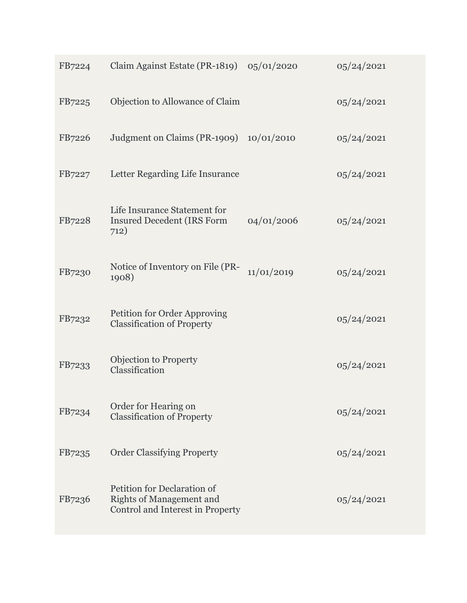| FB7224 | Claim Against Estate (PR-1819) $05/01/2020$                                                        |            | 05/24/2021 |
|--------|----------------------------------------------------------------------------------------------------|------------|------------|
| FB7225 | Objection to Allowance of Claim                                                                    |            | 05/24/2021 |
| FB7226 | Judgment on Claims (PR-1909) $10/01/2010$                                                          |            | 05/24/2021 |
| FB7227 | Letter Regarding Life Insurance                                                                    |            | 05/24/2021 |
| FB7228 | Life Insurance Statement for<br><b>Insured Decedent (IRS Form</b><br>712)                          | 04/01/2006 | 05/24/2021 |
| FB7230 | Notice of Inventory on File (PR-<br>1908)                                                          | 11/01/2019 | 05/24/2021 |
| FB7232 | Petition for Order Approving<br><b>Classification of Property</b>                                  |            | 05/24/2021 |
| FB7233 | <b>Objection to Property</b><br>Classification                                                     |            | 05/24/2021 |
| FB7234 | Order for Hearing on<br><b>Classification of Property</b>                                          |            | 05/24/2021 |
| FB7235 | <b>Order Classifying Property</b>                                                                  |            | 05/24/2021 |
| FB7236 | Petition for Declaration of<br><b>Rights of Management and</b><br>Control and Interest in Property |            | 05/24/2021 |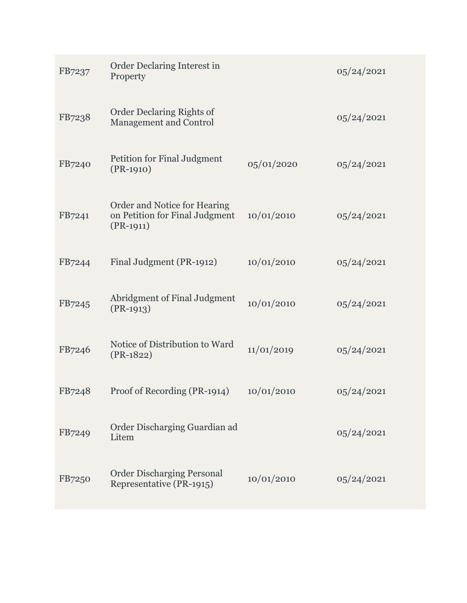| FB7237 | Order Declaring Interest in<br>Property                                       |            | 05/24/2021 |
|--------|-------------------------------------------------------------------------------|------------|------------|
| FB7238 | Order Declaring Rights of<br><b>Management and Control</b>                    |            | 05/24/2021 |
| FB7240 | Petition for Final Judgment<br>$(PR-1910)$                                    | 05/01/2020 | 05/24/2021 |
| FB7241 | Order and Notice for Hearing<br>on Petition for Final Judgment<br>$(PR-1911)$ | 10/01/2010 | 05/24/2021 |
| FB7244 | Final Judgment (PR-1912)                                                      | 10/01/2010 | 05/24/2021 |
| FB7245 | Abridgment of Final Judgment<br>$(PR-1913)$                                   | 10/01/2010 | 05/24/2021 |
| FB7246 | Notice of Distribution to Ward<br>$(PR-1822)$                                 | 11/01/2019 | 05/24/2021 |
| FB7248 | Proof of Recording (PR-1914)                                                  | 10/01/2010 | 05/24/2021 |
| FB7249 | Order Discharging Guardian ad<br>Litem                                        |            | 05/24/2021 |
| FB7250 | <b>Order Discharging Personal</b><br>Representative (PR-1915)                 | 10/01/2010 | 05/24/2021 |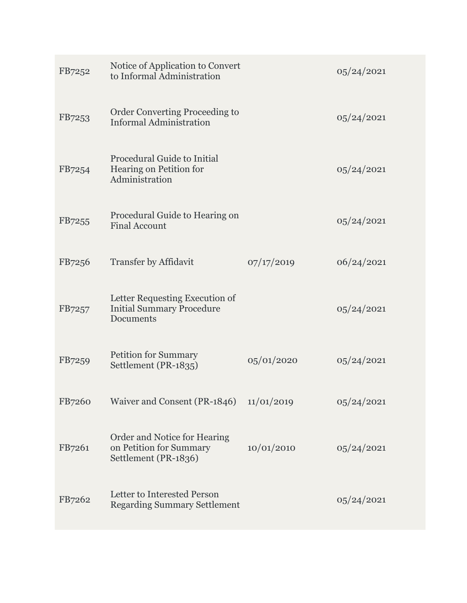| FB7252 | Notice of Application to Convert<br>to Informal Administration                  |            | 05/24/2021 |
|--------|---------------------------------------------------------------------------------|------------|------------|
| FB7253 | Order Converting Proceeding to<br><b>Informal Administration</b>                |            | 05/24/2021 |
| FB7254 | Procedural Guide to Initial<br>Hearing on Petition for<br>Administration        |            | 05/24/2021 |
| FB7255 | Procedural Guide to Hearing on<br><b>Final Account</b>                          |            | 05/24/2021 |
| FB7256 | <b>Transfer by Affidavit</b>                                                    | 07/17/2019 | 06/24/2021 |
| FB7257 | Letter Requesting Execution of<br><b>Initial Summary Procedure</b><br>Documents |            | 05/24/2021 |
| FB7259 | <b>Petition for Summary</b><br>Settlement (PR-1835)                             | 05/01/2020 | 05/24/2021 |
| FB7260 | Waiver and Consent (PR-1846)                                                    | 11/01/2019 | 05/24/2021 |
| FB7261 | Order and Notice for Hearing<br>on Petition for Summary<br>Settlement (PR-1836) | 10/01/2010 | 05/24/2021 |
| FB7262 | Letter to Interested Person<br><b>Regarding Summary Settlement</b>              |            | 05/24/2021 |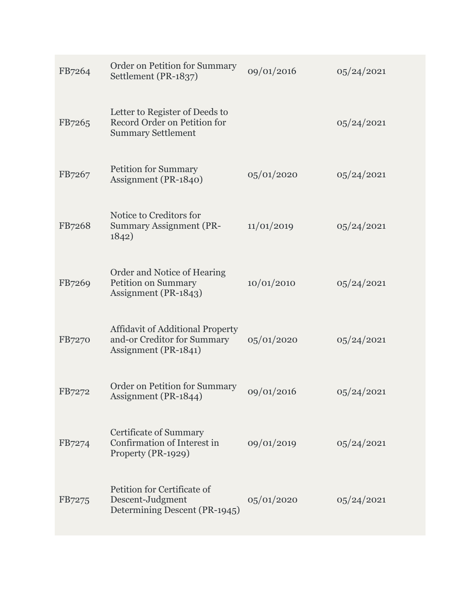| FB7264 | Order on Petition for Summary<br>Settlement (PR-1837)                                          | 09/01/2016 | 05/24/2021 |
|--------|------------------------------------------------------------------------------------------------|------------|------------|
| FB7265 | Letter to Register of Deeds to<br>Record Order on Petition for<br><b>Summary Settlement</b>    |            | 05/24/2021 |
| FB7267 | <b>Petition for Summary</b><br>Assignment (PR-1840)                                            | 05/01/2020 | 05/24/2021 |
| FB7268 | Notice to Creditors for<br><b>Summary Assignment (PR-</b><br>1842)                             | 11/01/2019 | 05/24/2021 |
| FB7269 | Order and Notice of Hearing<br><b>Petition on Summary</b><br>Assignment (PR-1843)              | 10/01/2010 | 05/24/2021 |
| FB7270 | <b>Affidavit of Additional Property</b><br>and-or Creditor for Summary<br>Assignment (PR-1841) | 05/01/2020 | 05/24/2021 |
| FB7272 | Order on Petition for Summary<br>Assignment (PR-1844)                                          | 09/01/2016 | 05/24/2021 |
| FB7274 | <b>Certificate of Summary</b><br>Confirmation of Interest in<br>Property (PR-1929)             | 09/01/2019 | 05/24/2021 |
| FB7275 | Petition for Certificate of<br>Descent-Judgment<br>Determining Descent (PR-1945)               | 05/01/2020 | 05/24/2021 |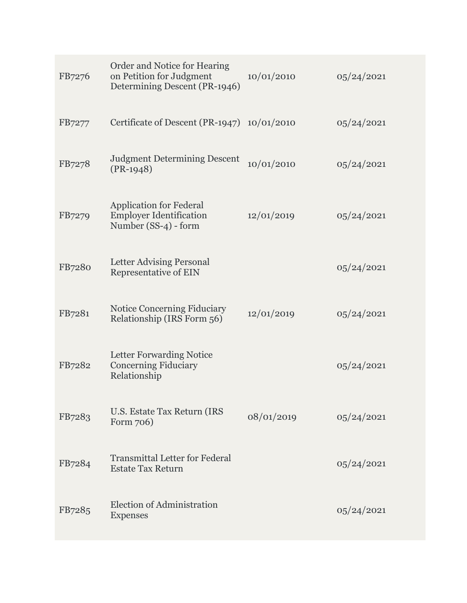| FB7276 | Order and Notice for Hearing<br>on Petition for Judgment<br>Determining Descent (PR-1946) | 10/01/2010 | 05/24/2021  |
|--------|-------------------------------------------------------------------------------------------|------------|-------------|
| FB7277 | Certificate of Descent (PR-1947) $10/01/2010$                                             |            | 05/24/2021  |
| FB7278 | <b>Judgment Determining Descent</b><br>$(PR-1948)$                                        | 10/01/2010 | 05/24/2021  |
| FB7279 | <b>Application for Federal</b><br><b>Employer Identification</b><br>Number (SS-4) - form  | 12/01/2019 | 05/24/2021  |
| FB7280 | Letter Advising Personal<br><b>Representative of EIN</b>                                  |            | 05/24/2021  |
| FB7281 | <b>Notice Concerning Fiduciary</b><br>Relationship (IRS Form 56)                          | 12/01/2019 | 05/24/2021  |
| FB7282 | <b>Letter Forwarding Notice</b><br><b>Concerning Fiduciary</b><br>Relationship            |            | 05/24/2021  |
| FB7283 | U.S. Estate Tax Return (IRS<br>Form 706)                                                  | 08/01/2019 | 0,0/24/2021 |
| FB7284 | <b>Transmittal Letter for Federal</b><br><b>Estate Tax Return</b>                         |            | 05/24/2021  |
| FB7285 | Election of Administration<br><b>Expenses</b>                                             |            | 05/24/2021  |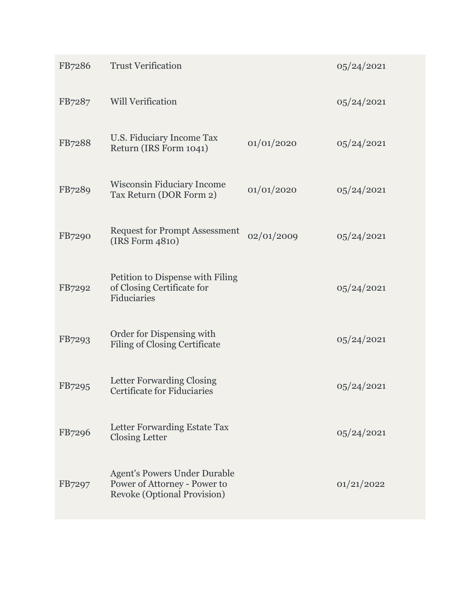| FB7286 | <b>Trust Verification</b>                                                                                 |            | 05/24/2021 |
|--------|-----------------------------------------------------------------------------------------------------------|------------|------------|
| FB7287 | <b>Will Verification</b>                                                                                  |            | 05/24/2021 |
| FB7288 | U.S. Fiduciary Income Tax<br>Return (IRS Form 1041)                                                       | 01/01/2020 | 05/24/2021 |
| FB7289 | <b>Wisconsin Fiduciary Income</b><br>Tax Return (DOR Form 2)                                              | 01/01/2020 | 05/24/2021 |
| FB7290 | <b>Request for Prompt Assessment</b><br>(IRS Form 4810)                                                   | 02/01/2009 | 05/24/2021 |
| FB7292 | Petition to Dispense with Filing<br>of Closing Certificate for<br>Fiduciaries                             |            | 05/24/2021 |
| FB7293 | Order for Dispensing with<br><b>Filing of Closing Certificate</b>                                         |            | 05/24/2021 |
| FB7295 | <b>Letter Forwarding Closing</b><br><b>Certificate for Fiduciaries</b>                                    |            | 05/24/2021 |
| FB7296 | Letter Forwarding Estate Tax<br><b>Closing Letter</b>                                                     |            | 05/24/2021 |
| FB7297 | <b>Agent's Powers Under Durable</b><br>Power of Attorney - Power to<br><b>Revoke (Optional Provision)</b> |            | 01/21/2022 |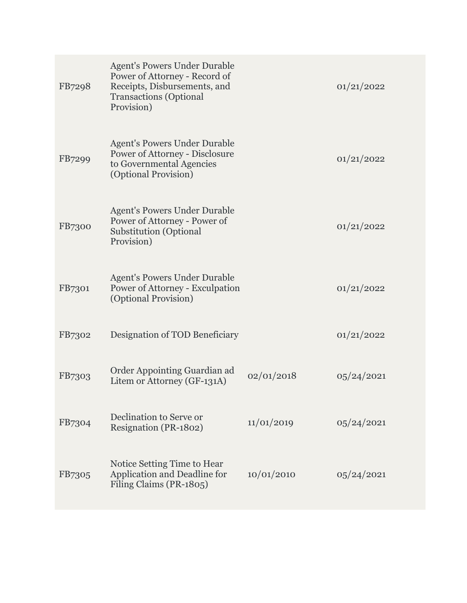| FB7298        | <b>Agent's Powers Under Durable</b><br>Power of Attorney - Record of<br>Receipts, Disbursements, and<br><b>Transactions</b> (Optional<br>Provision) |            | 01/21/2022  |
|---------------|-----------------------------------------------------------------------------------------------------------------------------------------------------|------------|-------------|
| FB7299        | <b>Agent's Powers Under Durable</b><br>Power of Attorney - Disclosure<br>to Governmental Agencies<br>(Optional Provision)                           |            | 01/21/2022  |
| <b>FB7300</b> | <b>Agent's Powers Under Durable</b><br>Power of Attorney - Power of<br><b>Substitution (Optional</b><br>Provision)                                  |            | 01/21/2022  |
| FB7301        | <b>Agent's Powers Under Durable</b><br>Power of Attorney - Exculpation<br>(Optional Provision)                                                      |            | 01/21/2022  |
| FB7302        | Designation of TOD Beneficiary                                                                                                                      |            | 01/21/2022  |
| FB7303        | Order Appointing Guardian ad<br>Litem or Attorney (GF-131A)                                                                                         | 02/01/2018 | 05/24/2021  |
| FB7304        | Declination to Serve or<br>Resignation (PR-1802)                                                                                                    | 11/01/2019 | 0,0/24/2021 |
| FB7305        | Notice Setting Time to Hear<br>Application and Deadline for<br>Filing Claims (PR-1805)                                                              | 10/01/2010 | 05/24/2021  |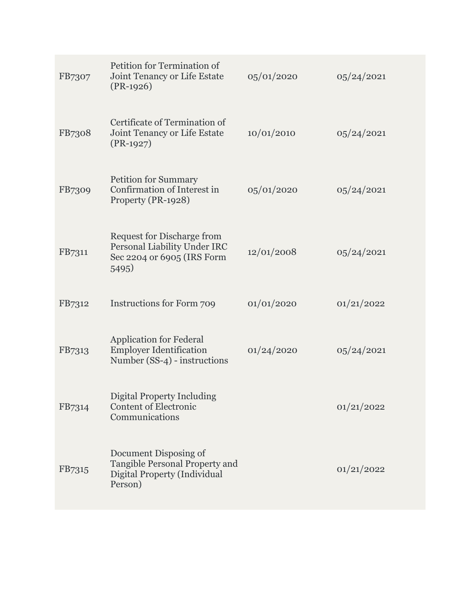| FB7307 | Petition for Termination of<br>Joint Tenancy or Life Estate<br>$(PR-1926)$                               | 05/01/2020 | 05/24/2021 |
|--------|----------------------------------------------------------------------------------------------------------|------------|------------|
| FB7308 | Certificate of Termination of<br>Joint Tenancy or Life Estate<br>$(PR-1927)$                             | 10/01/2010 | 05/24/2021 |
| FB7309 | <b>Petition for Summary</b><br>Confirmation of Interest in<br>Property (PR-1928)                         | 05/01/2020 | 05/24/2021 |
| FB7311 | <b>Request for Discharge from</b><br>Personal Liability Under IRC<br>Sec 2204 or 6905 (IRS Form<br>5495) | 12/01/2008 | 05/24/2021 |
| FB7312 | Instructions for Form 709                                                                                | 01/01/2020 | 01/21/2022 |
| FB7313 | <b>Application for Federal</b><br><b>Employer Identification</b><br>Number (SS-4) - instructions         | 01/24/2020 | 05/24/2021 |
| FB7314 | <b>Digital Property Including</b><br><b>Content of Electronic</b><br>Communications                      |            | 01/21/2022 |
| FB7315 | Document Disposing of<br>Tangible Personal Property and<br>Digital Property (Individual<br>Person)       |            | 01/21/2022 |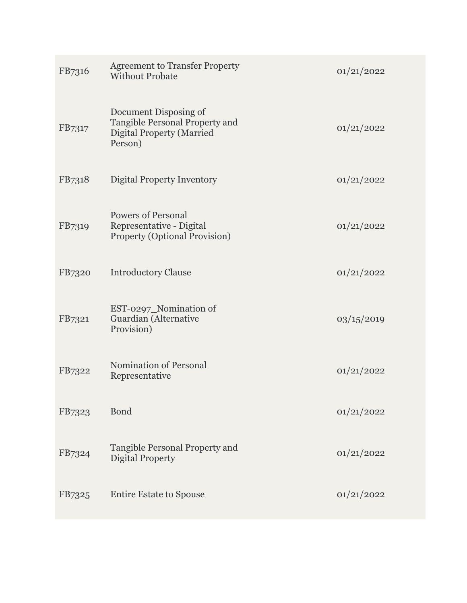| FB7316 | <b>Agreement to Transfer Property</b><br><b>Without Probate</b>                                        | 01/21/2022 |
|--------|--------------------------------------------------------------------------------------------------------|------------|
| FB7317 | Document Disposing of<br>Tangible Personal Property and<br><b>Digital Property (Married</b><br>Person) | 01/21/2022 |
| FB7318 | <b>Digital Property Inventory</b>                                                                      | 01/21/2022 |
| FB7319 | <b>Powers of Personal</b><br>Representative - Digital<br><b>Property (Optional Provision)</b>          | 01/21/2022 |
| FB7320 | <b>Introductory Clause</b>                                                                             | 01/21/2022 |
| FB7321 | EST-0297_Nomination of<br>Guardian (Alternative<br>Provision)                                          | 03/15/2019 |
| FB7322 | <b>Nomination of Personal</b><br>Representative                                                        | 01/21/2022 |
| FB7323 | <b>Bond</b>                                                                                            | 01/21/2022 |
| FB7324 | Tangible Personal Property and<br><b>Digital Property</b>                                              | 01/21/2022 |
| FB7325 | <b>Entire Estate to Spouse</b>                                                                         | 01/21/2022 |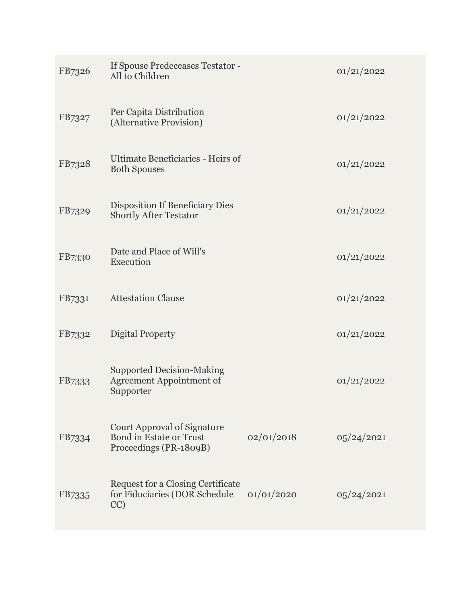| FB7326 | If Spouse Predeceases Testator -<br>All to Children                                            |            | 01/21/2022 |
|--------|------------------------------------------------------------------------------------------------|------------|------------|
| FB7327 | Per Capita Distribution<br>(Alternative Provision)                                             |            | 01/21/2022 |
| FB7328 | Ultimate Beneficiaries - Heirs of<br><b>Both Spouses</b>                                       |            | 01/21/2022 |
| FB7329 | <b>Disposition If Beneficiary Dies</b><br><b>Shortly After Testator</b>                        |            | 01/21/2022 |
| FB7330 | Date and Place of Will's<br>Execution                                                          |            | 01/21/2022 |
| FB7331 | <b>Attestation Clause</b>                                                                      |            | 01/21/2022 |
| FB7332 | Digital Property                                                                               |            | 01/21/2022 |
| FB7333 | <b>Supported Decision-Making</b><br><b>Agreement Appointment of</b><br>Supporter               |            | 01/21/2022 |
| FB7334 | <b>Court Approval of Signature</b><br><b>Bond in Estate or Trust</b><br>Proceedings (PR-1809B) | 02/01/2018 | 05/24/2021 |
| FB7335 | <b>Request for a Closing Certificate</b><br>for Fiduciaries (DOR Schedule<br>CC)               | 01/01/2020 | 05/24/2021 |